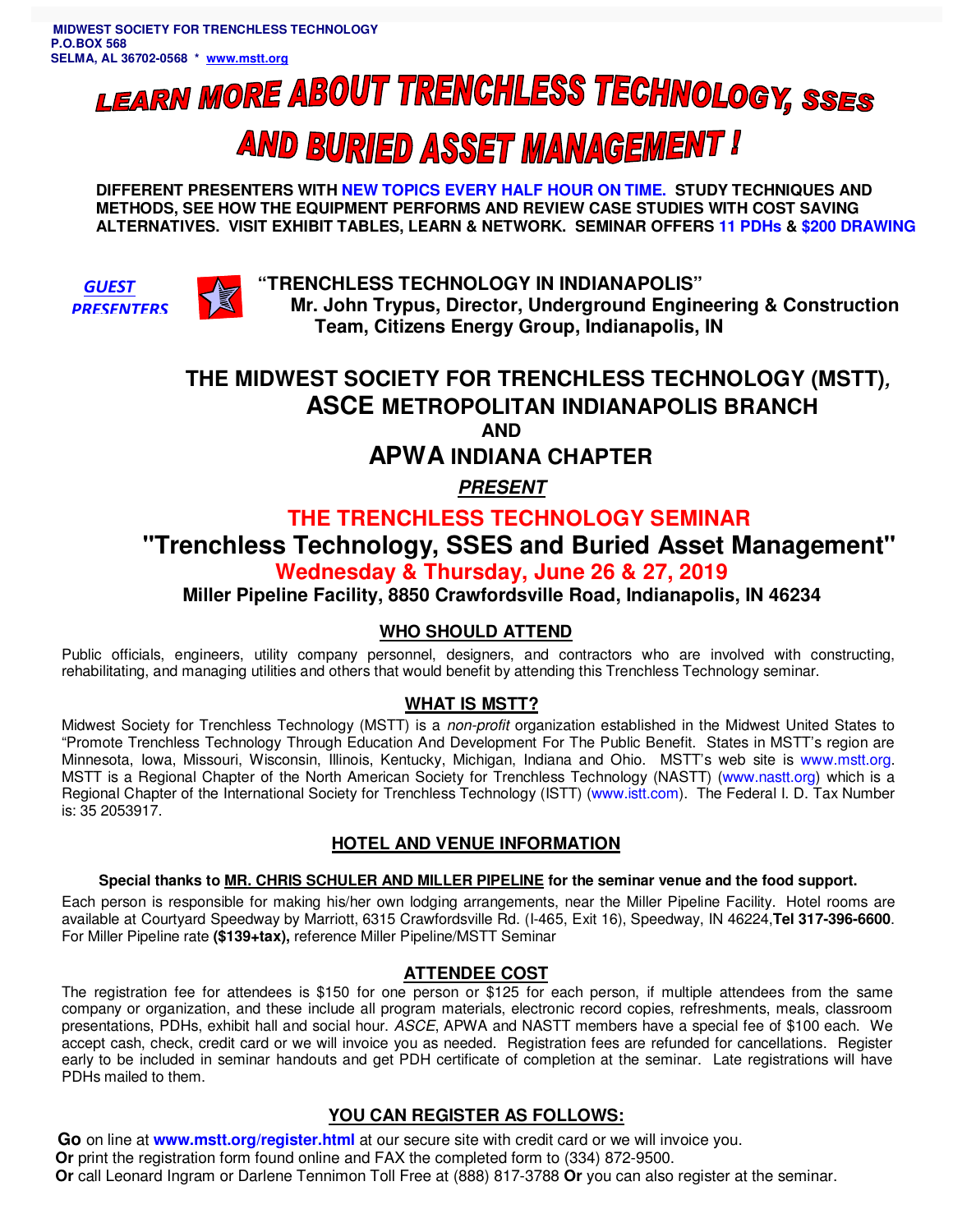# **LEARN MORE ABOUT TRENCHLESS TECHNOLOGY, SSES AND BURIED ASSET MANAGEMENT!**

**DIFFERENT PRESENTERS WITH NEW TOPICS EVERY HALF HOUR ON TIME. STUDY TECHNIQUES AND METHODS, SEE HOW THE EQUIPMENT PERFORMS AND REVIEW CASE STUDIES WITH COST SAVING ALTERNATIVES. VISIT EXHIBIT TABLES, LEARN & NETWORK. SEMINAR OFFERS 11 PDHs & \$200 DRAWING**





 **"TRENCHLESS TECHNOLOGY IN INDIANAPOLIS" Mr. John Trypus, Director, Underground Engineering & Construction Team, Citizens Energy Group, Indianapolis, IN** 

## **THE MIDWEST SOCIETY FOR TRENCHLESS TECHNOLOGY (MSTT), ASCE METROPOLITAN INDIANAPOLIS BRANCH AND**

 **APWA INDIANA CHAPTER** 

**PRESENT** 

## **THE TRENCHLESS TECHNOLOGY SEMINAR**

## **"Trenchless Technology, SSES and Buried Asset Management"**

## **Wednesday & Thursday, June 26 & 27, 2019**

## **Miller Pipeline Facility, 8850 Crawfordsville Road, Indianapolis, IN 46234**

#### **WHO SHOULD ATTEND**

Public officials, engineers, utility company personnel, designers, and contractors who are involved with constructing, rehabilitating, and managing utilities and others that would benefit by attending this Trenchless Technology seminar.

#### **WHAT IS MSTT?**

Midwest Society for Trenchless Technology (MSTT) is a non-profit organization established in the Midwest United States to "Promote Trenchless Technology Through Education And Development For The Public Benefit. States in MSTT's region are Minnesota, Iowa, Missouri, Wisconsin, Illinois, Kentucky, Michigan, Indiana and Ohio. MSTT's web site is www.mstt.org. MSTT is a Regional Chapter of the North American Society for Trenchless Technology (NASTT) (www.nastt.org) which is a Regional Chapter of the International Society for Trenchless Technology (ISTT) (www.istt.com). The Federal I. D. Tax Number is: 35 2053917.

#### **HOTEL AND VENUE INFORMATION**

#### **Special thanks to MR. CHRIS SCHULER AND MILLER PIPELINE for the seminar venue and the food support.**

Each person is responsible for making his/her own lodging arrangements, near the Miller Pipeline Facility. Hotel rooms are available at Courtyard Speedway by Marriott, 6315 Crawfordsville Rd. (I-465, Exit 16), Speedway, IN 46224,**Tel 317-396-6600**. For Miller Pipeline rate **(\$139+tax),** reference Miller Pipeline/MSTT Seminar

#### **ATTENDEE COST**

The registration fee for attendees is \$150 for one person or \$125 for each person, if multiple attendees from the same company or organization, and these include all program materials, electronic record copies, refreshments, meals, classroom presentations, PDHs, exhibit hall and social hour. ASCE, APWA and NASTT members have a special fee of \$100 each. We accept cash, check, credit card or we will invoice you as needed. Registration fees are refunded for cancellations. Register early to be included in seminar handouts and get PDH certificate of completion at the seminar. Late registrations will have PDHs mailed to them.

### **YOU CAN REGISTER AS FOLLOWS:**

 **Go** on line at **www.mstt.org/register.html** at our secure site with credit card or we will invoice you. **Or** print the registration form found online and FAX the completed form to (334) 872-9500. **Or** call Leonard Ingram or Darlene Tennimon Toll Free at (888) 817-3788 **Or** you can also register at the seminar.